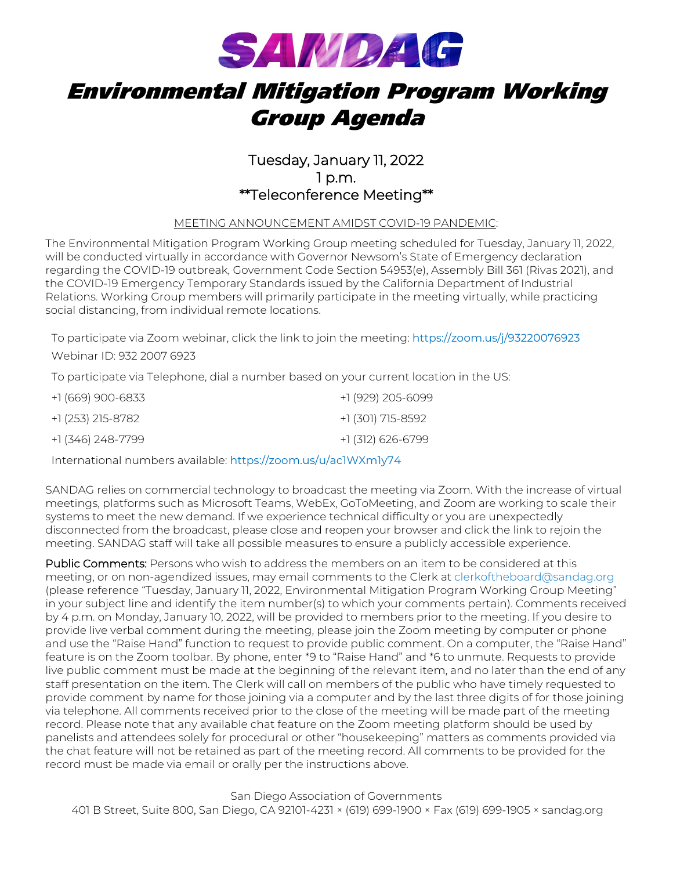

# Environmental Mitigation Program Working Group Agenda

### Tuesday, January 11, 2022 1 p.m. \*\*Teleconference Meeting\*\*

### MEETING ANNOUNCEMENT AMIDST COVID-19 PANDEMIC:

The Environmental Mitigation Program Working Group meeting scheduled for Tuesday, January 11, 2022, will be conducted virtually in accordance with Governor Newsom's State of Emergency declaration regarding the COVID-19 outbreak, Government Code Section 54953(e), Assembly Bill 361 (Rivas 2021), and the COVID-19 Emergency Temporary Standards issued by the California Department of Industrial Relations. Working Group members will primarily participate in the meeting virtually, while practicing social distancing, from individual remote locations.

To participate via Zoom webinar, click the link to join the meeting: [https://zoom.us/j/93220076923](https://gcc02.safelinks.protection.outlook.com/?url=https%3A%2F%2Fzoom.us%2Fj%2F93220076923&data=04%7C01%7Ceditorial%40sandag.org%7Cf958d3b41f0448ba9ac708d9b5c6a856%7C2bbb5689d9d5406b8d02cf1002b473e7%7C0%7C0%7C637740687104502116%7CUnknown%7CTWFpbGZsb3d8eyJWIjoiMC4wLjAwMDAiLCJQIjoiV2luMzIiLCJBTiI6Ik1haWwiLCJXVCI6Mn0%3D%7C3000&sdata=4%2FDt4oq%2BOXYjqarAod3njuTRgNqTxmKVGhYc%2FLIwv%2Bk%3D&reserved=0)

Webinar ID: 932 2007 6923

To participate via Telephone, dial a number based on your current location in the US:

| +1 (669) 900-6833 | +1 (929) 205-6099 |
|-------------------|-------------------|
| +1 (253) 215-8782 | +1 (301) 715-8592 |
| +1 (346) 248-7799 | +1 (312) 626-6799 |

International numbers available: [https://zoom.us/u/ac1WXm1y74](https://gcc02.safelinks.protection.outlook.com/?url=https%3A%2F%2Fzoom.us%2Fu%2Fac1WXm1y74&data=04%7C01%7Ceditorial%40sandag.org%7Cf958d3b41f0448ba9ac708d9b5c6a856%7C2bbb5689d9d5406b8d02cf1002b473e7%7C0%7C0%7C637740687104502116%7CUnknown%7CTWFpbGZsb3d8eyJWIjoiMC4wLjAwMDAiLCJQIjoiV2luMzIiLCJBTiI6Ik1haWwiLCJXVCI6Mn0%3D%7C3000&sdata=IwfhWu0uPKHX64DMb6RofQWDrlP%2FqKpGtZnuInh3HaA%3D&reserved=0)

SANDAG relies on commercial technology to broadcast the meeting via Zoom. With the increase of virtual meetings, platforms such as Microsoft Teams, WebEx, GoToMeeting, and Zoom are working to scale their systems to meet the new demand. If we experience technical difficulty or you are unexpectedly disconnected from the broadcast, please close and reopen your browser and click the link to rejoin the meeting. SANDAG staff will take all possible measures to ensure a publicly accessible experience.

Public Comments: Persons who wish to address the members on an item to be considered at this meeting, or on non-agendized issues, may email comments to the Clerk a[t clerkoftheboard@sandag.org](mailto:clerkoftheboard@sandag.org) (please reference "Tuesday, January 11, 2022, Environmental Mitigation Program Working Group Meeting" in your subject line and identify the item number(s) to which your comments pertain). Comments received by 4 p.m. on Monday, January 10, 2022, will be provided to members prior to the meeting. If you desire to provide live verbal comment during the meeting, please join the Zoom meeting by computer or phone and use the "Raise Hand" function to request to provide public comment. On a computer, the "Raise Hand" feature is on the Zoom toolbar. By phone, enter \*9 to "Raise Hand" and \*6 to unmute. Requests to provide live public comment must be made at the beginning of the relevant item, and no later than the end of any staff presentation on the item. The Clerk will call on members of the public who have timely requested to provide comment by name for those joining via a computer and by the last three digits of for those joining via telephone. All comments received prior to the close of the meeting will be made part of the meeting record. Please note that any available chat feature on the Zoom meeting platform should be used by panelists and attendees solely for procedural or other "housekeeping" matters as comments provided via the chat feature will not be retained as part of the meeting record. All comments to be provided for the record must be made via email or orally per the instructions above.

San Diego Association of Governments 401 B Street, Suite 800, San Diego, CA 92101-4231 × (619) 699-1900 × Fax (619) 699-1905 × sandag.org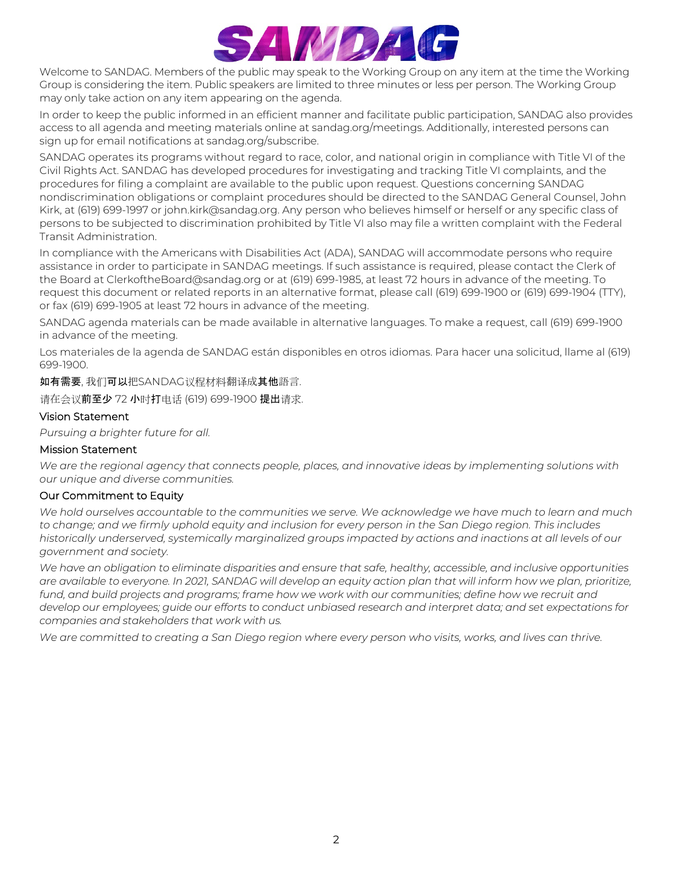

Welcome to SANDAG. Members of the public may speak to the Working Group on any item at the time the Working Group is considering the item. Public speakers are limited to three minutes or less per person. The Working Group may only take action on any item appearing on the agenda.

In order to keep the public informed in an efficient manner and facilitate public participation, SANDAG also provides access to all agenda and meeting materials online at sandag.org/meetings. Additionally, interested persons can sign up for email notifications at sandag.org/subscribe.

SANDAG operates its programs without regard to race, color, and national origin in compliance with Title VI of the Civil Rights Act. SANDAG has developed procedures for investigating and tracking Title VI complaints, and the procedures for filing a complaint are available to the public upon request. Questions concerning SANDAG nondiscrimination obligations or complaint procedures should be directed to the SANDAG General Counsel, John Kirk, at (619) 699-1997 or john.kirk@sandag.org. Any person who believes himself or herself or any specific class of persons to be subjected to discrimination prohibited by Title VI also may file a written complaint with the Federal Transit Administration.

In compliance with the Americans with Disabilities Act (ADA), SANDAG will accommodate persons who require assistance in order to participate in SANDAG meetings. If such assistance is required, please contact the Clerk of the Board at ClerkoftheBoard@sandag.org or at (619) 699-1985, at least 72 hours in advance of the meeting. To request this document or related reports in an alternative format, please call (619) 699-1900 or (619) 699-1904 (TTY), or fax (619) 699-1905 at least 72 hours in advance of the meeting.

SANDAG agenda materials can be made available in alternative languages. To make a request, call (619) 699-1900 in advance of the meeting.

Los materiales de la agenda de SANDAG están disponibles en otros idiomas. Para hacer una solicitud, llame al (619) 699-1900.

如有需要, 我们可以把SANDAG议程材料翻译成其他語言.

请在会议前至少 72 小时打电话 (619) 699-1900 提出请求.

### Vision Statement

*Pursuing a brighter future for all.*

#### Mission Statement

*We are the regional agency that connects people, places, and innovative ideas by implementing solutions with our unique and diverse communities.*

#### Our Commitment to Equity

*We hold ourselves accountable to the communities we serve. We acknowledge we have much to learn and much*  to change; and we firmly uphold equity and inclusion for every person in the San Diego region. This includes *historically underserved, systemically marginalized groups impacted by actions and inactions at all levels of our government and society.*

*We have an obligation to eliminate disparities and ensure that safe, healthy, accessible, and inclusive opportunities are available to everyone. In 2021, SANDAG will develop an equity action plan that will inform how we plan, prioritize, fund, and build projects and programs; frame how we work with our communities; define how we recruit and develop our employees; guide our efforts to conduct unbiased research and interpret data; and set expectations for companies and stakeholders that work with us.*

*We are committed to creating a San Diego region where every person who visits, works, and lives can thrive.*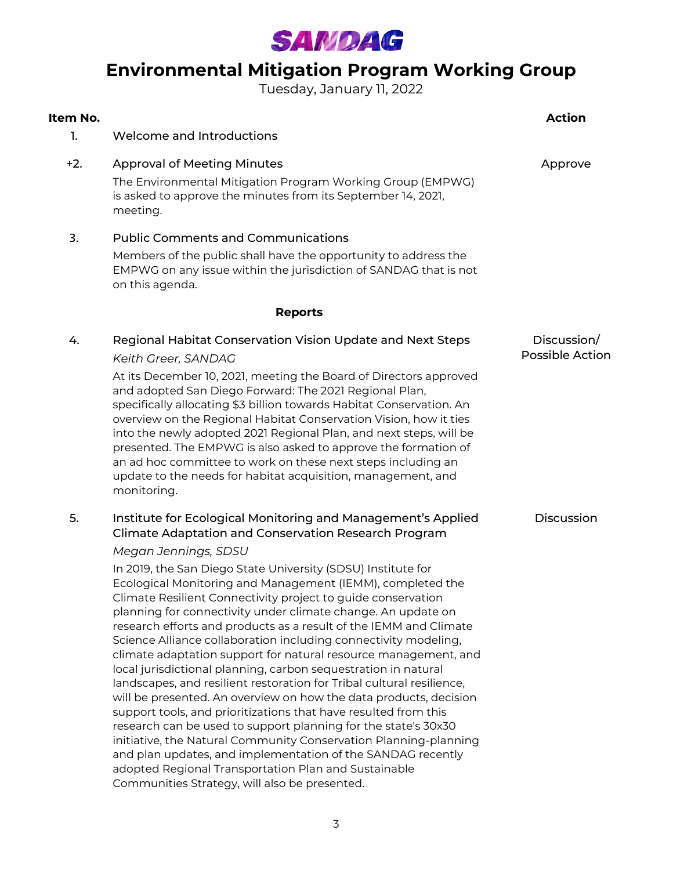

## **Environmental Mitigation Program Working Group**

Tuesday, January 11, 2022

| Item No. |                                                                                                                                                                                                                                                                                                                                                                                                                                                                                                                                                                                                                                                      | <b>Action</b>                         |
|----------|------------------------------------------------------------------------------------------------------------------------------------------------------------------------------------------------------------------------------------------------------------------------------------------------------------------------------------------------------------------------------------------------------------------------------------------------------------------------------------------------------------------------------------------------------------------------------------------------------------------------------------------------------|---------------------------------------|
| 1.       | Welcome and Introductions                                                                                                                                                                                                                                                                                                                                                                                                                                                                                                                                                                                                                            |                                       |
| $+2.$    | <b>Approval of Meeting Minutes</b><br>The Environmental Mitigation Program Working Group (EMPWG)<br>is asked to approve the minutes from its September 14, 2021,<br>meeting.                                                                                                                                                                                                                                                                                                                                                                                                                                                                         | Approve                               |
| 3.       | <b>Public Comments and Communications</b><br>Members of the public shall have the opportunity to address the<br>EMPWG on any issue within the jurisdiction of SANDAG that is not<br>on this agenda.                                                                                                                                                                                                                                                                                                                                                                                                                                                  |                                       |
|          | <b>Reports</b>                                                                                                                                                                                                                                                                                                                                                                                                                                                                                                                                                                                                                                       |                                       |
| 4.       | Regional Habitat Conservation Vision Update and Next Steps<br>Keith Greer, SANDAG<br>At its December 10, 2021, meeting the Board of Directors approved<br>and adopted San Diego Forward: The 2021 Regional Plan,<br>specifically allocating \$3 billion towards Habitat Conservation. An<br>overview on the Regional Habitat Conservation Vision, how it ties<br>into the newly adopted 2021 Regional Plan, and next steps, will be<br>presented. The EMPWG is also asked to approve the formation of<br>an ad hoc committee to work on these next steps including an<br>update to the needs for habitat acquisition, management, and<br>monitoring. | Discussion/<br><b>Possible Action</b> |
| 5.       | Institute for Ecological Monitoring and Management's Applied<br>Climate Adaptation and Conservation Research Program<br>Megan Jennings, SDSU<br>In 2019, the San Diego State University (SDSU) Institute for<br>Ecological Monitoring and Management (IEMM), completed the<br>Climate Resilient Connectivity project to guide conservation<br>planning for connectivity under climate change. An update on<br>research efforts and products as a result of the IEMM and Climate                                                                                                                                                                      | Discussion                            |

Science Alliance collaboration including connectivity modeling, climate adaptation support for natural resource management, and

local jurisdictional planning, carbon sequestration in natural landscapes, and resilient restoration for Tribal cultural resilience, will be presented. An overview on how the data products, decision support tools, and prioritizations that have resulted from this research can be used to support planning for the state's 30x30 initiative, the Natural Community Conservation Planning-planning and plan updates, and implementation of the SANDAG recently

adopted Regional Transportation Plan and Sustainable

Communities Strategy, will also be presented.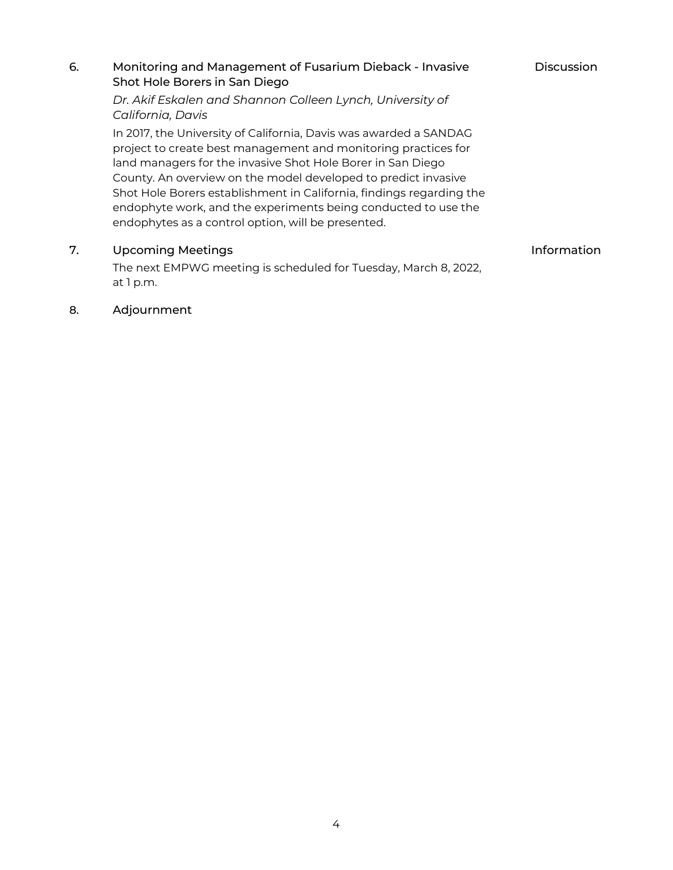### 6. Monitoring and Management of Fusarium Dieback - Invasive Shot Hole Borers in San Diego *Dr. Akif Eskalen and Shannon Colleen Lynch, University of California, Davis* **Discussion** In 2017, the University of California, Davis was awarded a SANDAG project to create best management and monitoring practices for

land managers for the invasive Shot Hole Borer in San Diego County. An overview on the model developed to predict invasive Shot Hole Borers establishment in California, findings regarding the endophyte work, and the experiments being conducted to use the endophytes as a control option, will be presented.

### 7. Upcoming Meetings **Information**

The next EMPWG meeting is scheduled for Tuesday, March 8, 2022, at 1 p.m.

### 8. Adjournment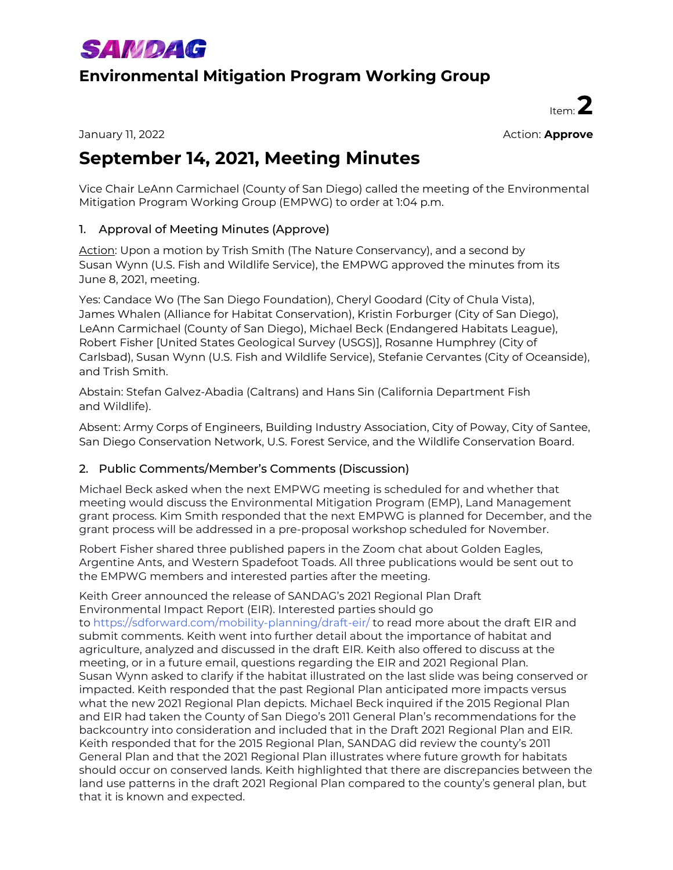

### **Environmental Mitigation Program Working Group**

Item: **2**

January 11, 2022 Action: **Approve**

## **September 14, 2021, Meeting Minutes**

Vice Chair LeAnn Carmichael (County of San Diego) called the meeting of the Environmental Mitigation Program Working Group (EMPWG) to order at 1:04 p.m.

### 1. Approval of Meeting Minutes (Approve)

Action: Upon a motion by Trish Smith (The Nature Conservancy), and a second by Susan Wynn (U.S. Fish and Wildlife Service), the EMPWG approved the minutes from its June 8, 2021, meeting.

Yes: Candace Wo (The San Diego Foundation), Cheryl Goodard (City of Chula Vista), James Whalen (Alliance for Habitat Conservation), Kristin Forburger (City of San Diego), LeAnn Carmichael (County of San Diego), Michael Beck (Endangered Habitats League), Robert Fisher [United States Geological Survey (USGS)], Rosanne Humphrey (City of Carlsbad), Susan Wynn (U.S. Fish and Wildlife Service), Stefanie Cervantes (City of Oceanside), and Trish Smith.

Abstain: Stefan Galvez-Abadia (Caltrans) and Hans Sin (California Department Fish and Wildlife).

Absent: Army Corps of Engineers, Building Industry Association, City of Poway, City of Santee, San Diego Conservation Network, U.S. Forest Service, and the Wildlife Conservation Board.

### 2. Public Comments/Member's Comments (Discussion)

Michael Beck asked when the next EMPWG meeting is scheduled for and whether that meeting would discuss the Environmental Mitigation Program (EMP), Land Management grant process. Kim Smith responded that the next EMPWG is planned for December, and the grant process will be addressed in a pre-proposal workshop scheduled for November.

Robert Fisher shared three published papers in the Zoom chat about Golden Eagles, Argentine Ants, and Western Spadefoot Toads. All three publications would be sent out to the EMPWG members and interested parties after the meeting.

Keith Greer announced the release of SANDAG's 2021 Regional Plan Draft Environmental Impact Report [\(EIR\). Interested parties should go](https://sdforward.com/mobility-planning/draft-eir/)  to https://sdforward.com/mobility-planning/draft-eir/ to read more about the draft EIR and submit comments. Keith went into further detail about the importance of habitat and agriculture, analyzed and discussed in the draft EIR. Keith also offered to discuss at the meeting, or in a future email, questions regarding the EIR and 2021 Regional Plan. Susan Wynn asked to clarify if the habitat illustrated on the last slide was being conserved or impacted. Keith responded that the past Regional Plan anticipated more impacts versus what the new 2021 Regional Plan depicts. Michael Beck inquired if the 2015 Regional Plan and EIR had taken the County of San Diego's 2011 General Plan's recommendations for the backcountry into consideration and included that in the Draft 2021 Regional Plan and EIR. Keith responded that for the 2015 Regional Plan, SANDAG did review the county's 2011 General Plan and that the 2021 Regional Plan illustrates where future growth for habitats should occur on conserved lands. Keith highlighted that there are discrepancies between the land use patterns in the draft 2021 Regional Plan compared to the county's general plan, but that it is known and expected.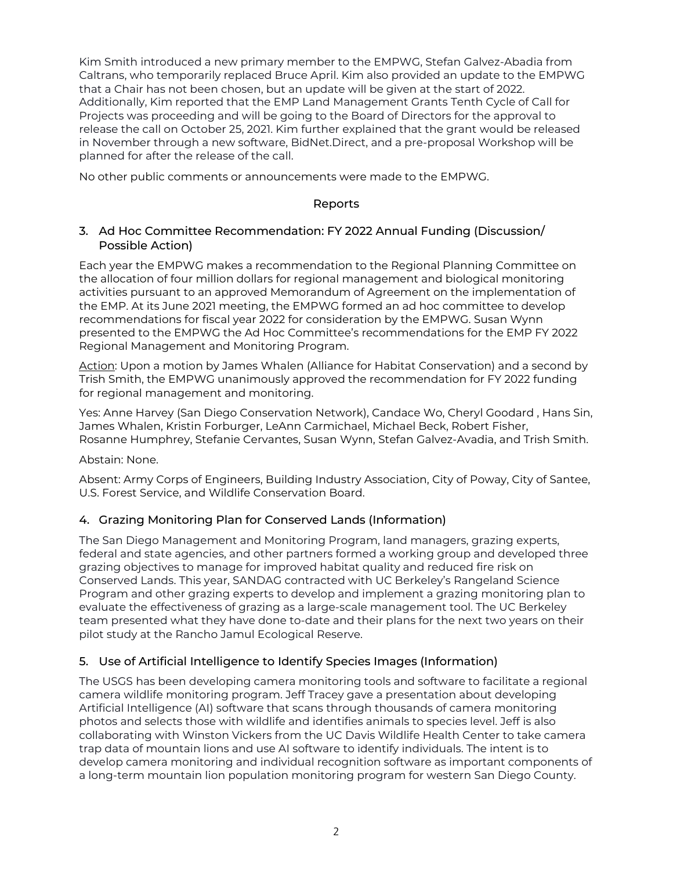Kim Smith introduced a new primary member to the EMPWG, Stefan Galvez-Abadia from Caltrans, who temporarily replaced Bruce April. Kim also provided an update to the EMPWG that a Chair has not been chosen, but an update will be given at the start of 2022. Additionally, Kim reported that the EMP Land Management Grants Tenth Cycle of Call for Projects was proceeding and will be going to the Board of Directors for the approval to release the call on October 25, 2021. Kim further explained that the grant would be released in November through a new software, BidNet.Direct, and a pre-proposal Workshop will be planned for after the release of the call.

No other public comments or announcements were made to the EMPWG.

### Reports

### 3. Ad Hoc Committee Recommendation: FY 2022 Annual Funding (Discussion/ Possible Action)

Each year the EMPWG makes a recommendation to the Regional Planning Committee on the allocation of four million dollars for regional management and biological monitoring activities pursuant to an approved Memorandum of Agreement on the implementation of the EMP. At its June 2021 meeting, the EMPWG formed an ad hoc committee to develop recommendations for fiscal year 2022 for consideration by the EMPWG. Susan Wynn presented to the EMPWG the Ad Hoc Committee's recommendations for the EMP FY 2022 Regional Management and Monitoring Program.

Action: Upon a motion by James Whalen (Alliance for Habitat Conservation) and a second by Trish Smith, the EMPWG unanimously approved the recommendation for FY 2022 funding for regional management and monitoring.

Yes: Anne Harvey (San Diego Conservation Network), Candace Wo, Cheryl Goodard , Hans Sin, James Whalen, Kristin Forburger, LeAnn Carmichael, Michael Beck, Robert Fisher, Rosanne Humphrey, Stefanie Cervantes, Susan Wynn, Stefan Galvez-Avadia, and Trish Smith.

Abstain: None.

Absent: Army Corps of Engineers, Building Industry Association, City of Poway, City of Santee, U.S. Forest Service, and Wildlife Conservation Board.

### 4. Grazing Monitoring Plan for Conserved Lands (Information)

The San Diego Management and Monitoring Program, land managers, grazing experts, federal and state agencies, and other partners formed a working group and developed three grazing objectives to manage for improved habitat quality and reduced fire risk on Conserved Lands. This year, SANDAG contracted with UC Berkeley's Rangeland Science Program and other grazing experts to develop and implement a grazing monitoring plan to evaluate the effectiveness of grazing as a large-scale management tool. The UC Berkeley team presented what they have done to-date and their plans for the next two years on their pilot study at the Rancho Jamul Ecological Reserve.

### 5. Use of Artificial Intelligence to Identify Species Images (Information)

The USGS has been developing camera monitoring tools and software to facilitate a regional camera wildlife monitoring program. Jeff Tracey gave a presentation about developing Artificial Intelligence (AI) software that scans through thousands of camera monitoring photos and selects those with wildlife and identifies animals to species level. Jeff is also collaborating with Winston Vickers from the UC Davis Wildlife Health Center to take camera trap data of mountain lions and use AI software to identify individuals. The intent is to develop camera monitoring and individual recognition software as important components of a long-term mountain lion population monitoring program for western San Diego County.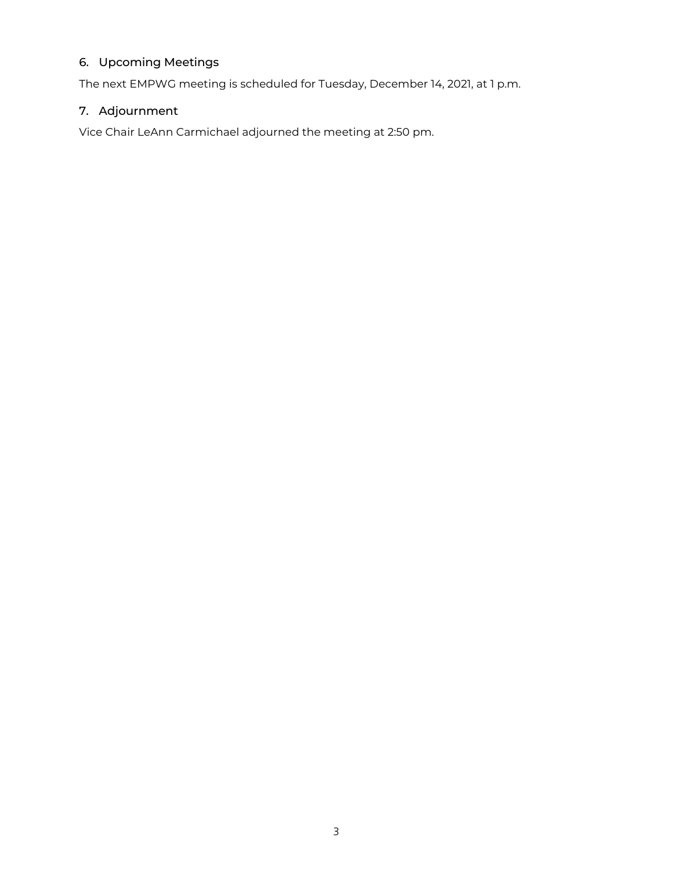### 6. Upcoming Meetings

The next EMPWG meeting is scheduled for Tuesday, December 14, 2021, at 1 p.m.

### 7. Adjournment

Vice Chair LeAnn Carmichael adjourned the meeting at 2:50 pm.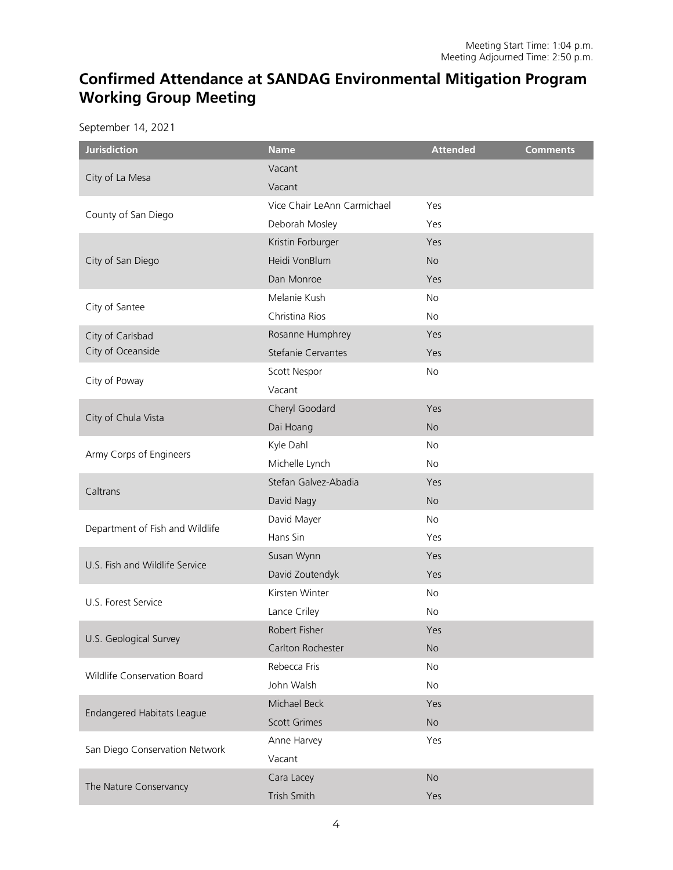## **Confirmed Attendance at SANDAG Environmental Mitigation Program Working Group Meeting**

September 14, 2021

| <b>Jurisdiction</b>               | <b>Name</b>                 | <b>Attended</b> | <b>Comments</b> |
|-----------------------------------|-----------------------------|-----------------|-----------------|
|                                   | Vacant                      |                 |                 |
| City of La Mesa                   | Vacant                      |                 |                 |
|                                   | Vice Chair LeAnn Carmichael | Yes             |                 |
| County of San Diego               | Deborah Mosley              | Yes             |                 |
|                                   | Kristin Forburger           | Yes             |                 |
| City of San Diego                 | Heidi VonBlum               | <b>No</b>       |                 |
|                                   | Dan Monroe                  | Yes             |                 |
|                                   | Melanie Kush                | No              |                 |
| City of Santee                    | Christina Rios              | <b>No</b>       |                 |
| City of Carlsbad                  | Rosanne Humphrey            | Yes             |                 |
| City of Oceanside                 | Stefanie Cervantes          | Yes             |                 |
|                                   | Scott Nespor                | <b>No</b>       |                 |
| City of Poway                     | Vacant                      |                 |                 |
|                                   | Cheryl Goodard              | Yes             |                 |
| City of Chula Vista               | Dai Hoang                   | <b>No</b>       |                 |
|                                   | Kyle Dahl                   | <b>No</b>       |                 |
| Army Corps of Engineers           | Michelle Lynch              | <b>No</b>       |                 |
|                                   | Stefan Galvez-Abadia        | Yes             |                 |
| Caltrans                          | David Nagy                  | <b>No</b>       |                 |
|                                   | David Mayer                 | <b>No</b>       |                 |
| Department of Fish and Wildlife   | Hans Sin                    | Yes             |                 |
|                                   | Susan Wynn                  | Yes             |                 |
| U.S. Fish and Wildlife Service    | David Zoutendyk             | Yes             |                 |
| U.S. Forest Service               | Kirsten Winter              | <b>No</b>       |                 |
|                                   | Lance Criley                | No              |                 |
|                                   | Robert Fisher               | Yes             |                 |
| U.S. Geological Survey            | Carlton Rochester           | <b>No</b>       |                 |
|                                   | Rebecca Fris                | No              |                 |
| Wildlife Conservation Board       | John Walsh                  | No              |                 |
|                                   | Michael Beck                | Yes             |                 |
| <b>Endangered Habitats League</b> | <b>Scott Grimes</b>         | No              |                 |
|                                   | Anne Harvey                 | Yes             |                 |
| San Diego Conservation Network    | Vacant                      |                 |                 |
|                                   | Cara Lacey                  | No              |                 |
| The Nature Conservancy            | Trish Smith                 | Yes             |                 |